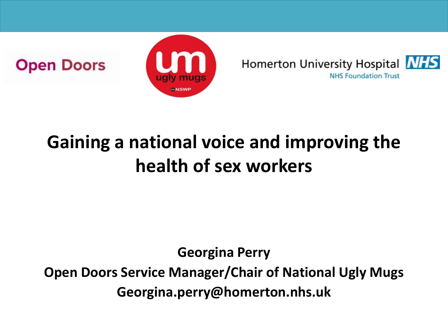





# **Gaining a national voice and improving the health of sex workers**

#### **Georgina Perry Open Doors Service Manager/Chair of National Ugly Mugs Georgina.perry@homerton.nhs.uk**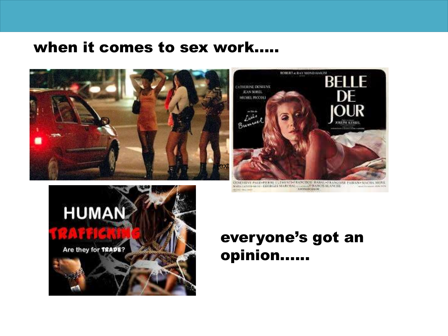#### when it comes to sex work.....





GUNEVIEVE PAGE-FREED: LI EMENTI-FRANCISCO, RARAL-FRANÇOSIE FABIAN-MACHIE (1993), ARRIL (1993), ARRIL (1993), ARRIL (1994), ARRIL (1994), ARRIL (1994), ARRIL (1995), ARRIL (1995), ARRIL (1995), ARRIL (1995), ARRIL (1995),



#### everyone's got an opinion......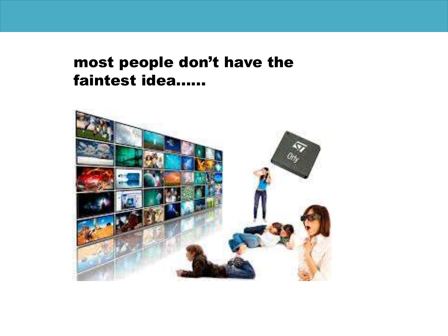#### most people don't have the faintest idea......

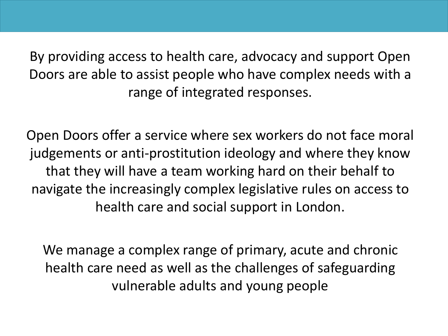By providing access to health care, advocacy and support Open Doors are able to assist people who have complex needs with a range of integrated responses.

Open Doors offer a service where sex workers do not face moral judgements or anti-prostitution ideology and where they know that they will have a team working hard on their behalf to navigate the increasingly complex legislative rules on access to health care and social support in London.

We manage a complex range of primary, acute and chronic health care need as well as the challenges of safeguarding vulnerable adults and young people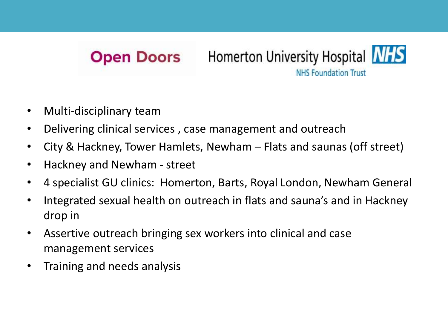

- Multi-disciplinary team
- Delivering clinical services , case management and outreach
- City & Hackney, Tower Hamlets, Newham Flats and saunas (off street)
- Hackney and Newham street
- 4 specialist GU clinics: Homerton, Barts, Royal London, Newham General
- Integrated sexual health on outreach in flats and sauna's and in Hackney drop in
- Assertive outreach bringing sex workers into clinical and case management services
- Training and needs analysis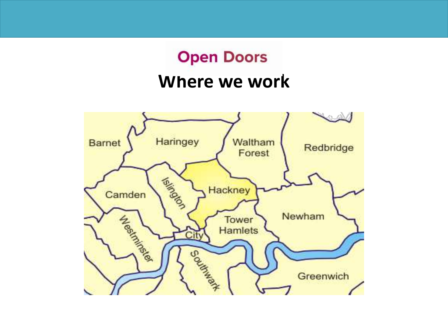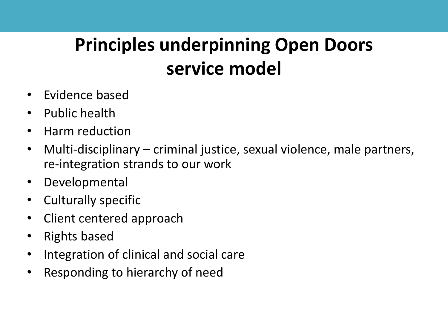# **Principles underpinning Open Doors service model**

- Evidence based
- Public health
- Harm reduction
- Multi-disciplinary criminal justice, sexual violence, male partners, re-integration strands to our work
- Developmental
- Culturally specific
- Client centered approach
- Rights based
- Integration of clinical and social care
- Responding to hierarchy of need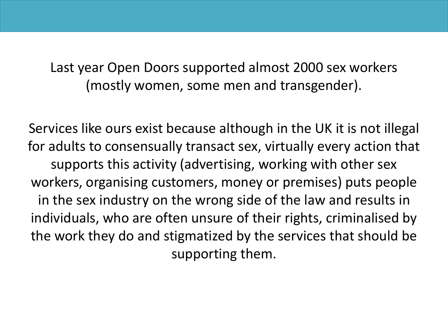Last year Open Doors supported almost 2000 sex workers (mostly women, some men and transgender).

Services like ours exist because although in the UK it is not illegal for adults to consensually transact sex, virtually every action that supports this activity (advertising, working with other sex workers, organising customers, money or premises) puts people in the sex industry on the wrong side of the law and results in individuals, who are often unsure of their rights, criminalised by the work they do and stigmatized by the services that should be supporting them.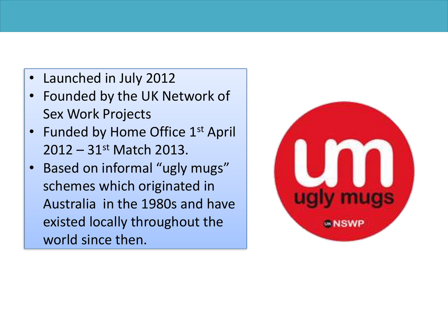- Launched in July 2012
- Founded by the UK Network of Sex Work Projects
- Funded by Home Office 1<sup>st</sup> April 2012 – 31st Match 2013.
- Based on informal "ugly mugs" schemes which originated in Australia in the 1980s and have existed locally throughout the world since then.

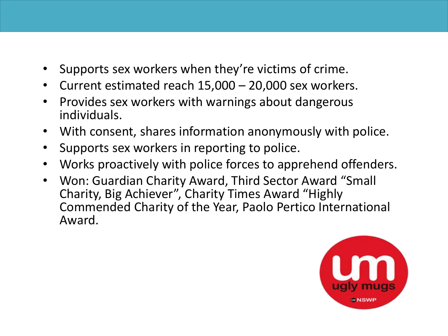- Supports sex workers when they're victims of crime.
- Current estimated reach 15,000 20,000 sex workers.
- Provides sex workers with warnings about dangerous individuals.
- With consent, shares information anonymously with police.
- Supports sex workers in reporting to police.
- Works proactively with police forces to apprehend offenders.
- Won: Guardian Charity Award, Third Sector Award "Small Charity, Big Achiever", Charity Times Award "Highly Commended Charity of the Year, Paolo Pertico International Award.

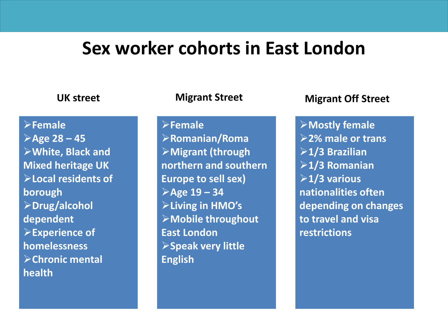#### **Sex worker cohorts in East London**

**Female Age 28 – 45 White, Black and Mixed heritage UK Local residents of borough Drug/alcohol dependent Experience of homelessness Chronic mental health** 

**Female Romanian/Roma Migrant (through northern and southern Europe to sell sex) Age 19 – 34 Living in HMO's Mobile throughout East London Speak very little English**

#### **UK street Migrant Street Migrant Off Street**

**Mostly female 2% male or trans 1/3 Brazilian 1/3 Romanian 1/3 various nationalities often depending on changes to travel and visa restrictions**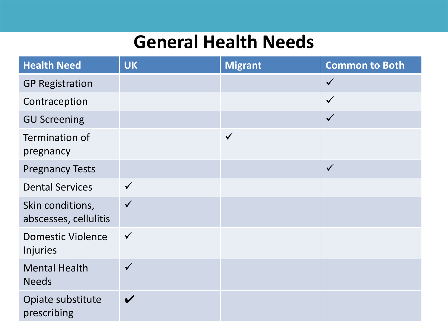#### **General Health Needs**

| <b>Health Need</b>                          | <b>UK</b>                  | <b>Migrant</b> | <b>Common to Both</b> |
|---------------------------------------------|----------------------------|----------------|-----------------------|
| <b>GP Registration</b>                      |                            |                | $\checkmark$          |
| Contraception                               |                            |                | $\checkmark$          |
| <b>GU Screening</b>                         |                            |                | $\checkmark$          |
| Termination of<br>pregnancy                 |                            | $\checkmark$   |                       |
| <b>Pregnancy Tests</b>                      |                            |                | $\checkmark$          |
| <b>Dental Services</b>                      | $\checkmark$               |                |                       |
| Skin conditions,<br>abscesses, cellulitis   | $\checkmark$               |                |                       |
| <b>Domestic Violence</b><br><b>Injuries</b> | $\checkmark$               |                |                       |
| <b>Mental Health</b><br><b>Needs</b>        | $\checkmark$               |                |                       |
| Opiate substitute<br>prescribing            | $\boldsymbol{\mathcal{U}}$ |                |                       |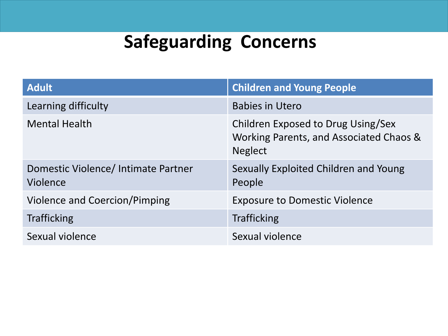## **Safeguarding Concerns**

| <b>Adult</b>                                    | <b>Children and Young People</b>                                                                |
|-------------------------------------------------|-------------------------------------------------------------------------------------------------|
| Learning difficulty                             | <b>Babies in Utero</b>                                                                          |
| <b>Mental Health</b>                            | Children Exposed to Drug Using/Sex<br>Working Parents, and Associated Chaos &<br><b>Neglect</b> |
| Domestic Violence/ Intimate Partner<br>Violence | Sexually Exploited Children and Young<br>People                                                 |
| Violence and Coercion/Pimping                   | <b>Exposure to Domestic Violence</b>                                                            |
| <b>Trafficking</b>                              | Trafficking                                                                                     |
| Sexual violence                                 | Sexual violence                                                                                 |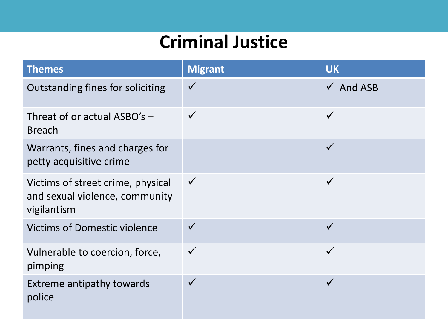### **Criminal Justice**

| <b>Themes</b>                                                                      | <b>Migrant</b> | <b>UK</b>            |
|------------------------------------------------------------------------------------|----------------|----------------------|
| <b>Outstanding fines for soliciting</b>                                            | $\checkmark$   | $\checkmark$ And ASB |
| Threat of or actual ASBO's -<br><b>Breach</b>                                      | $\checkmark$   | $\checkmark$         |
| Warrants, fines and charges for<br>petty acquisitive crime                         |                | $\checkmark$         |
| Victims of street crime, physical<br>and sexual violence, community<br>vigilantism | $\checkmark$   | $\checkmark$         |
| <b>Victims of Domestic violence</b>                                                | $\checkmark$   | $\checkmark$         |
| Vulnerable to coercion, force,<br>pimping                                          |                |                      |
| Extreme antipathy towards<br>police                                                | $\checkmark$   | $\checkmark$         |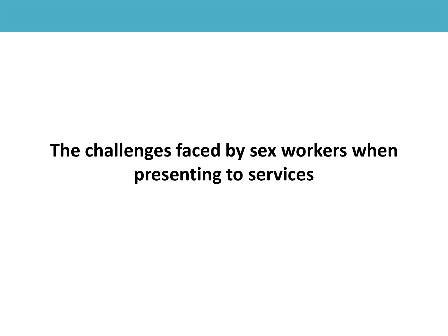# **The challenges faced by sex workers when presenting to services**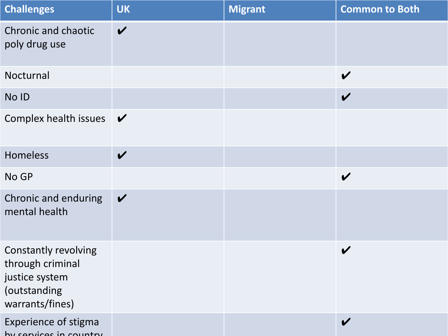| <b>Challenges</b>                                                                             | <b>UK</b>                  | <b>Migrant</b> | <b>Common to Both</b>      |
|-----------------------------------------------------------------------------------------------|----------------------------|----------------|----------------------------|
| Chronic and chaotic<br>poly drug use                                                          | $\checkmark$               |                |                            |
| Nocturnal                                                                                     |                            |                | $\checkmark$               |
| No ID                                                                                         |                            |                | $\checkmark$               |
| Complex health issues                                                                         | $\checkmark$               |                |                            |
| Homeless                                                                                      | $\checkmark$               |                |                            |
| No GP                                                                                         |                            |                | $\checkmark$               |
| Chronic and enduring<br>mental health                                                         | $\boldsymbol{\mathcal{U}}$ |                |                            |
| Constantly revolving<br>through criminal<br>justice system<br>(outstanding<br>warrants/fines) |                            |                | $\boldsymbol{\mathcal{U}}$ |
| <b>Experience of stigma</b><br>hy carvicas in country                                         |                            |                | $\boldsymbol{\mathcal{U}}$ |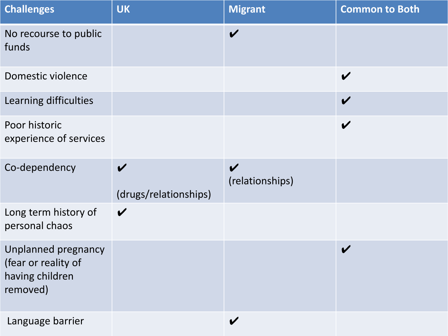| <b>Challenges</b>                                                         | <b>UK</b>                                           | Migrant                                       | <b>Common to Both</b>      |
|---------------------------------------------------------------------------|-----------------------------------------------------|-----------------------------------------------|----------------------------|
| No recourse to public<br>funds                                            |                                                     | $\boldsymbol{\mathcal{U}}$                    |                            |
| Domestic violence                                                         |                                                     |                                               | $\checkmark$               |
| Learning difficulties                                                     |                                                     |                                               | $\boldsymbol{\mathcal{U}}$ |
| Poor historic<br>experience of services                                   |                                                     |                                               | $\boldsymbol{\mathcal{U}}$ |
| Co-dependency                                                             | $\boldsymbol{\mathcal{U}}$<br>(drugs/relationships) | $\boldsymbol{\mathcal{U}}$<br>(relationships) |                            |
| Long term history of<br>personal chaos                                    | $\checkmark$                                        |                                               |                            |
| Unplanned pregnancy<br>(fear or reality of<br>having children<br>removed) |                                                     |                                               | $\boldsymbol{\mathcal{U}}$ |
| Language barrier                                                          |                                                     | $\boldsymbol{\mathcal{U}}$                    |                            |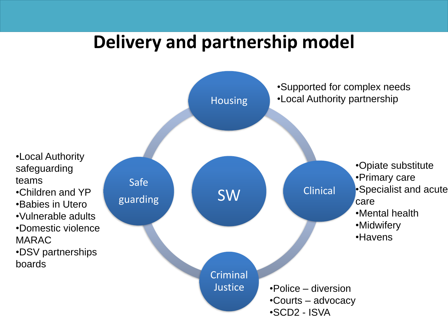#### **Delivery and partnership model**

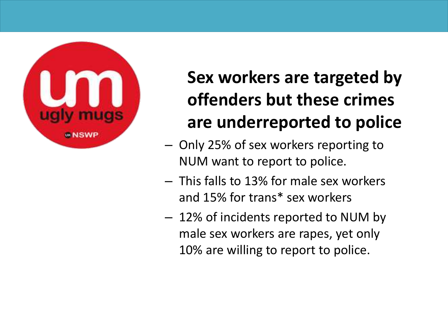

# **Sex workers are targeted by offenders but these crimes are underreported to police**

- Only 25% of sex workers reporting to NUM want to report to police.
- This falls to 13% for male sex workers and 15% for trans\* sex workers
- 12% of incidents reported to NUM by male sex workers are rapes, yet only 10% are willing to report to police.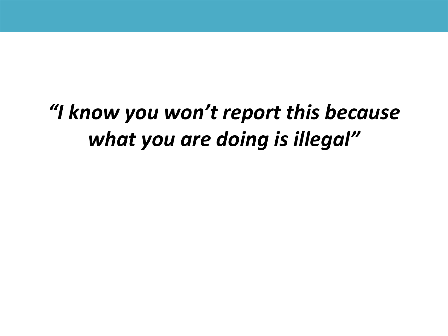# *"I know you won't report this because what you are doing is illegal"*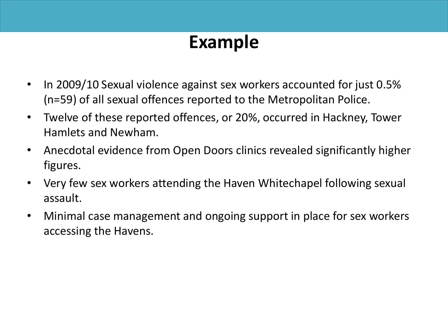# **Example**

- In 2009/10 Sexual violence against sex workers accounted for just 0.5% (n=59) of all sexual offences reported to the Metropolitan Police.
- Twelve of these reported offences, or 20%, occurred in Hackney, Tower Hamlets and Newham.
- Anecdotal evidence from Open Doors clinics revealed significantly higher figures.
- Very few sex workers attending the Haven Whitechapel following sexual assault.
- Minimal case management and ongoing support in place for sex workers accessing the Havens.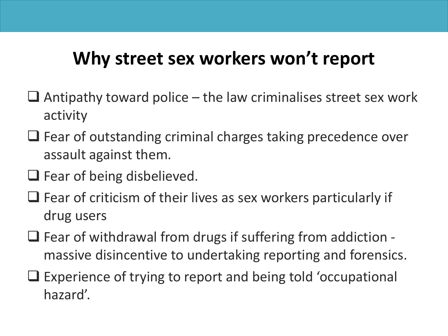#### **Why street sex workers won't report**

- $\Box$  Antipathy toward police the law criminalises street sex work activity
- $\Box$  Fear of outstanding criminal charges taking precedence over assault against them.
- $\Box$  Fear of being disbelieved.
- $\Box$  Fear of criticism of their lives as sex workers particularly if drug users
- $\Box$  Fear of withdrawal from drugs if suffering from addiction massive disincentive to undertaking reporting and forensics.
- $\Box$  Experience of trying to report and being told 'occupational hazard'.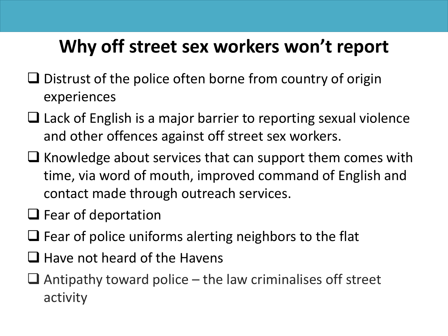## **Why off street sex workers won't report**

- $\Box$  Distrust of the police often borne from country of origin experiences
- $\Box$  Lack of English is a major barrier to reporting sexual violence and other offences against off street sex workers.
- $\Box$  Knowledge about services that can support them comes with time, via word of mouth, improved command of English and contact made through outreach services.
- $\Box$  Fear of deportation
- $\Box$  Fear of police uniforms alerting neighbors to the flat
- $\Box$  Have not heard of the Havens
- $\Box$  Antipathy toward police the law criminalises off street activity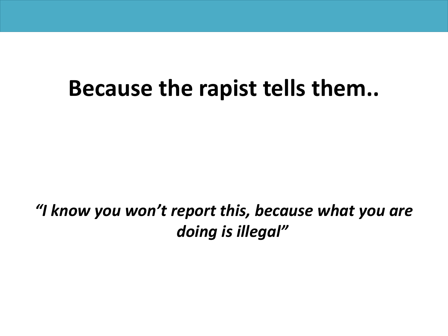# **Because the rapist tells them..**

#### *"I know you won't report this, because what you are doing is illegal"*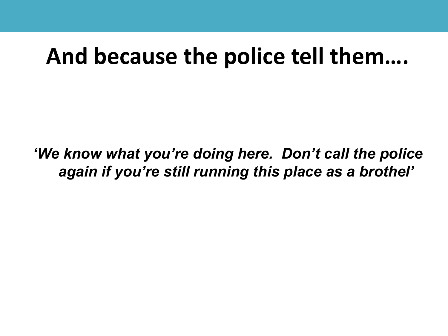# **And because the police tell them….**

#### *'We know what you're doing here. Don't call the police again if you're still running this place as a brothel'*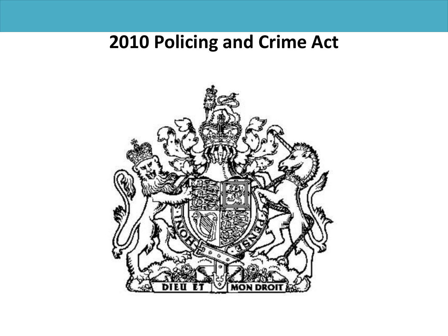#### **2010 Policing and Crime Act**

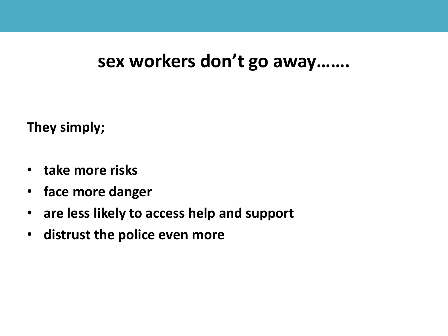#### **sex workers don't go away…….**

**They simply;**

- **take more risks**
- **face more danger**
- **are less likely to access help and support**
- **distrust the police even more**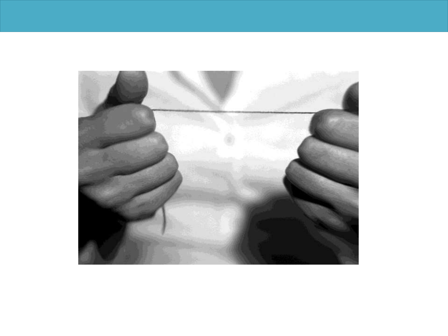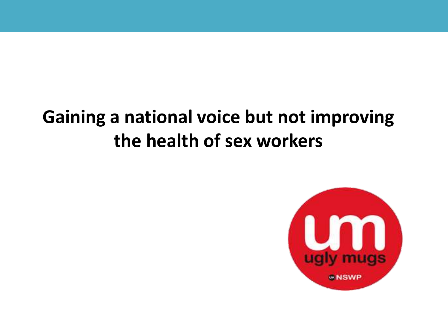# **Gaining a national voice but not improving the health of sex workers**

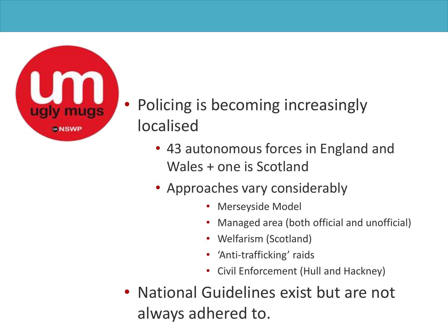

- Policing is becoming increasingly localised
	- 43 autonomous forces in England and Wales + one is Scotland
	- Approaches vary considerably
		- Merseyside Model
		- Managed area (both official and unofficial)
		- Welfarism (Scotland)
		- 'Anti-trafficking' raids
		- Civil Enforcement (Hull and Hackney)
- National Guidelines exist but are not always adhered to.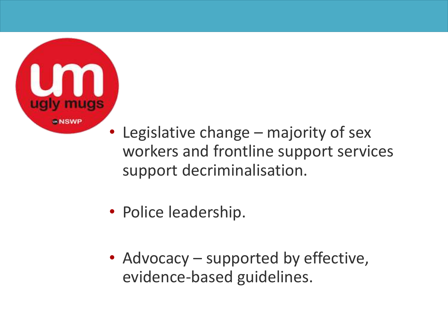

- Legislative change majority of sex workers and frontline support services support decriminalisation.
- Police leadership.
- Advocacy supported by effective, evidence-based guidelines.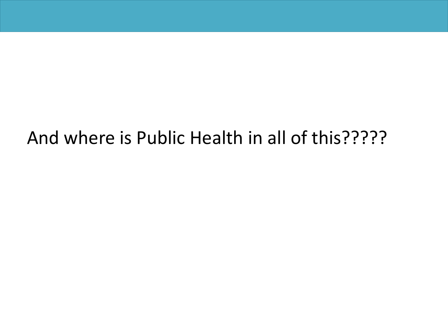#### And where is Public Health in all of this?????